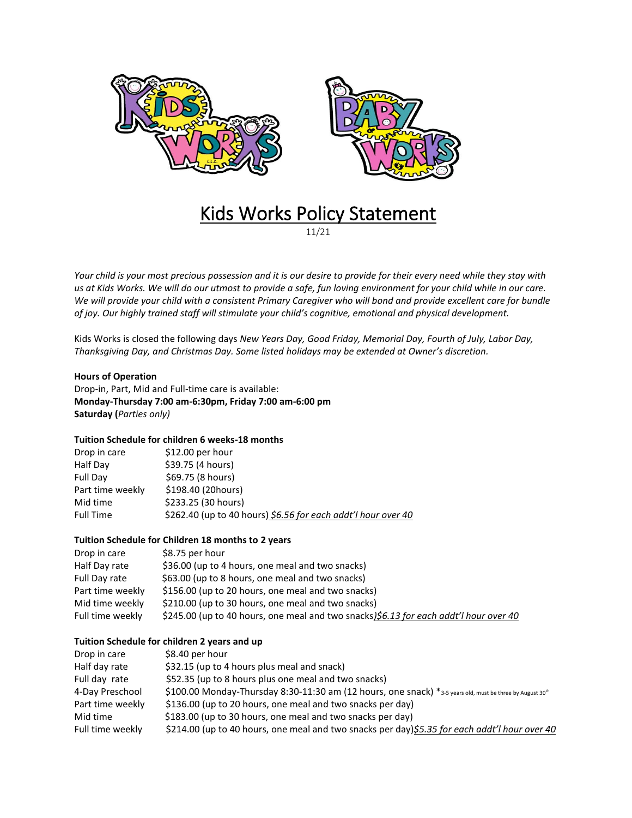

# Kids Works Policy Statement

11/21

*Your child is your most precious possession and it is our desire to provide for their every need while they stay with us at Kids Works. We will do our utmost to provide a safe, fun loving environment for your child while in our care. We will provide your child with a consistent Primary Caregiver who will bond and provide excellent care for bundle of joy. Our highly trained staff will stimulate your child's cognitive, emotional and physical development.*

Kids Works is closed the following days *New Years Day, Good Friday, Memorial Day, Fourth of July, Labor Day, Thanksgiving Day, and Christmas Day. Some listed holidays may be extended at Owner's discretion.*

## **Hours of Operation**

Drop-in, Part, Mid and Full-time care is available: **Monday-Thursday 7:00 am-6:30pm, Friday 7:00 am-6:00 pm Saturday (***Parties only)*

# **Tuition Schedule for children 6 weeks-18 months**

| Drop in care     | $$12.00$ per hour                                             |
|------------------|---------------------------------------------------------------|
| Half Day         | \$39.75 (4 hours)                                             |
| Full Day         | \$69.75 (8 hours)                                             |
| Part time weekly | \$198.40 (20hours)                                            |
| Mid time         | \$233.25 (30 hours)                                           |
| <b>Full Time</b> | \$262.40 (up to 40 hours) \$6.56 for each addt'l hour over 40 |

# **Tuition Schedule for Children 18 months to 2 years**

| Drop in care     | \$8.75 per hour                                                                       |
|------------------|---------------------------------------------------------------------------------------|
| Half Day rate    | \$36.00 (up to 4 hours, one meal and two snacks)                                      |
| Full Day rate    | \$63.00 (up to 8 hours, one meal and two snacks)                                      |
| Part time weekly | \$156.00 (up to 20 hours, one meal and two snacks)                                    |
| Mid time weekly  | \$210.00 (up to 30 hours, one meal and two snacks)                                    |
| Full time weekly | \$245.00 (up to 40 hours, one meal and two snacks)\$6.13 for each addt'l hour over 40 |

# **Tuition Schedule for children 2 years and up**

| Drop in care     | \$8.40 per hour                                                                                                       |
|------------------|-----------------------------------------------------------------------------------------------------------------------|
| Half day rate    | \$32.15 (up to 4 hours plus meal and snack)                                                                           |
| Full day rate    | \$52.35 (up to 8 hours plus one meal and two snacks)                                                                  |
| 4-Day Preschool  | \$100.00 Monday-Thursday 8:30-11:30 am (12 hours, one snack) *3-5 years old, must be three by August 30 <sup>th</sup> |
| Part time weekly | \$136.00 (up to 20 hours, one meal and two snacks per day)                                                            |
| Mid time         | \$183.00 (up to 30 hours, one meal and two snacks per day)                                                            |
| Full time weekly | \$214.00 (up to 40 hours, one meal and two snacks per day)\$5.35 for each addt'l hour over 40                         |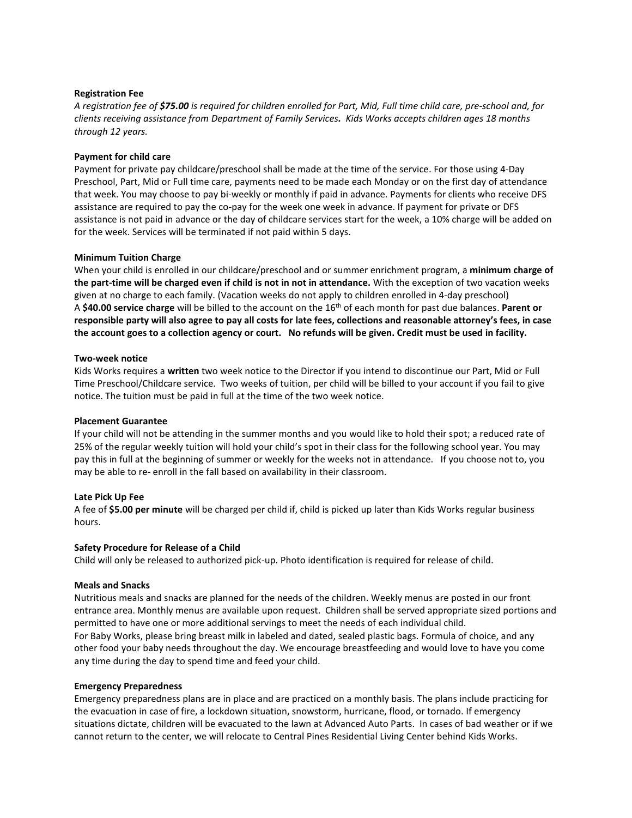## **Registration Fee**

*A registration fee of \$75.00 is required for children enrolled for Part, Mid, Full time child care, pre-school and, for clients receiving assistance from Department of Family Services. Kids Works accepts children ages 18 months through 12 years.*

## **Payment for child care**

Payment for private pay childcare/preschool shall be made at the time of the service. For those using 4-Day Preschool, Part, Mid or Full time care, payments need to be made each Monday or on the first day of attendance that week. You may choose to pay bi-weekly or monthly if paid in advance. Payments for clients who receive DFS assistance are required to pay the co-pay for the week one week in advance. If payment for private or DFS assistance is not paid in advance or the day of childcare services start for the week, a 10% charge will be added on for the week. Services will be terminated if not paid within 5 days.

## **Minimum Tuition Charge**

When your child is enrolled in our childcare/preschool and or summer enrichment program, a **minimum charge of the part-time will be charged even if child is not in not in attendance.** With the exception of two vacation weeks given at no charge to each family. (Vacation weeks do not apply to children enrolled in 4-day preschool) A **\$40.00 service charge** will be billed to the account on the 16th of each month for past due balances. **Parent or responsible party will also agree to pay all costs for late fees, collections and reasonable attorney's fees, in case the account goes to a collection agency or court. No refunds will be given. Credit must be used in facility.**

# **Two-week notice**

Kids Works requires a **written** two week notice to the Director if you intend to discontinue our Part, Mid or Full Time Preschool/Childcare service. Two weeks of tuition, per child will be billed to your account if you fail to give notice. The tuition must be paid in full at the time of the two week notice.

#### **Placement Guarantee**

If your child will not be attending in the summer months and you would like to hold their spot; a reduced rate of 25% of the regular weekly tuition will hold your child's spot in their class for the following school year. You may pay this in full at the beginning of summer or weekly for the weeks not in attendance. If you choose not to, you may be able to re- enroll in the fall based on availability in their classroom.

#### **Late Pick Up Fee**

A fee of **\$5.00 per minute** will be charged per child if, child is picked up later than Kids Works regular business hours.

#### **Safety Procedure for Release of a Child**

Child will only be released to authorized pick-up. Photo identification is required for release of child.

#### **Meals and Snacks**

Nutritious meals and snacks are planned for the needs of the children. Weekly menus are posted in our front entrance area. Monthly menus are available upon request. Children shall be served appropriate sized portions and permitted to have one or more additional servings to meet the needs of each individual child. For Baby Works, please bring breast milk in labeled and dated, sealed plastic bags. Formula of choice, and any other food your baby needs throughout the day. We encourage breastfeeding and would love to have you come any time during the day to spend time and feed your child.

#### **Emergency Preparedness**

Emergency preparedness plans are in place and are practiced on a monthly basis. The plans include practicing for the evacuation in case of fire, a lockdown situation, snowstorm, hurricane, flood, or tornado. If emergency situations dictate, children will be evacuated to the lawn at Advanced Auto Parts. In cases of bad weather or if we cannot return to the center, we will relocate to Central Pines Residential Living Center behind Kids Works.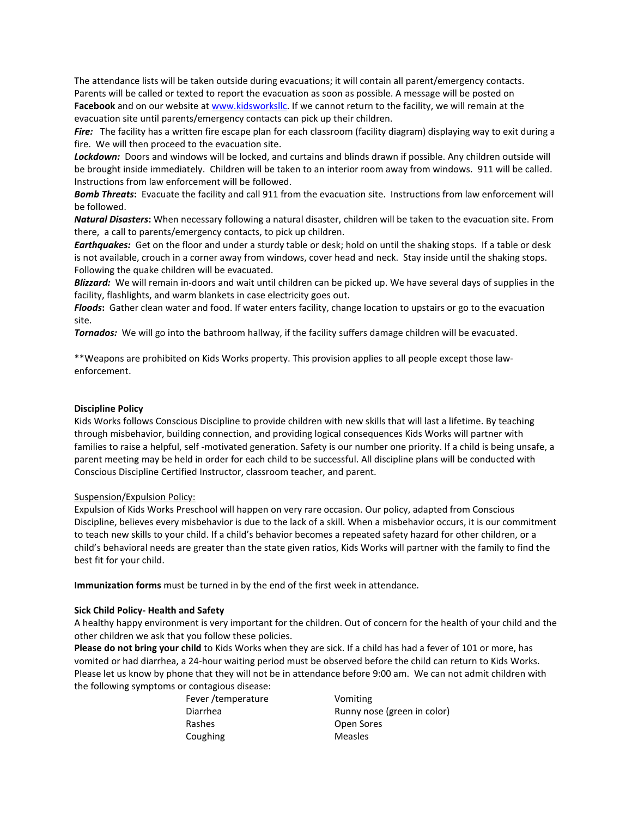The attendance lists will be taken outside during evacuations; it will contain all parent/emergency contacts. Parents will be called or texted to report the evacuation as soon as possible. A message will be posted on **Facebook** and on our website at [www.kidsworksllc.](http://www.kidsworksllc/) If we cannot return to the facility, we will remain at the evacuation site until parents/emergency contacts can pick up their children.

*Fire:* The facility has a written fire escape plan for each classroom (facility diagram) displaying way to exit during a fire. We will then proceed to the evacuation site.

*Lockdown:* Doors and windows will be locked, and curtains and blinds drawn if possible. Any children outside will be brought inside immediately. Children will be taken to an interior room away from windows. 911 will be called. Instructions from law enforcement will be followed.

*Bomb Threats***:** Evacuate the facility and call 911 from the evacuation site. Instructions from law enforcement will be followed.

*Natural Disasters***:** When necessary following a natural disaster, children will be taken to the evacuation site. From there, a call to parents/emergency contacts, to pick up children.

*Earthquakes:* Get on the floor and under a sturdy table or desk; hold on until the shaking stops. If a table or desk is not available, crouch in a corner away from windows, cover head and neck. Stay inside until the shaking stops. Following the quake children will be evacuated.

*Blizzard:* We will remain in-doors and wait until children can be picked up. We have several days of supplies in the facility, flashlights, and warm blankets in case electricity goes out.

*Floods***:** Gather clean water and food. If water enters facility, change location to upstairs or go to the evacuation site.

*Tornados:* We will go into the bathroom hallway, if the facility suffers damage children will be evacuated.

\*\*Weapons are prohibited on Kids Works property. This provision applies to all people except those lawenforcement.

# **Discipline Policy**

Kids Works follows Conscious Discipline to provide children with new skills that will last a lifetime. By teaching through misbehavior, building connection, and providing logical consequences Kids Works will partner with families to raise a helpful, self -motivated generation. Safety is our number one priority. If a child is being unsafe, a parent meeting may be held in order for each child to be successful. All discipline plans will be conducted with Conscious Discipline Certified Instructor, classroom teacher, and parent.

## Suspension/Expulsion Policy:

Expulsion of Kids Works Preschool will happen on very rare occasion. Our policy, adapted from Conscious Discipline, believes every misbehavior is due to the lack of a skill. When a misbehavior occurs, it is our commitment to teach new skills to your child. If a child's behavior becomes a repeated safety hazard for other children, or a child's behavioral needs are greater than the state given ratios, Kids Works will partner with the family to find the best fit for your child.

**Immunization forms** must be turned in by the end of the first week in attendance.

## **Sick Child Policy- Health and Safety**

A healthy happy environment is very important for the children. Out of concern for the health of your child and the other children we ask that you follow these policies.

**Please do not bring your child** to Kids Works when they are sick. If a child has had a fever of 101 or more, has vomited or had diarrhea, a 24-hour waiting period must be observed before the child can return to Kids Works. Please let us know by phone that they will not be in attendance before 9:00 am. We can not admit children with the following symptoms or contagious disease:

| Fever /temperature | Vomiting                    |
|--------------------|-----------------------------|
| Diarrhea           | Runny nose (green in color) |
| Rashes             | Open Sores                  |
| Coughing           | <b>Measles</b>              |